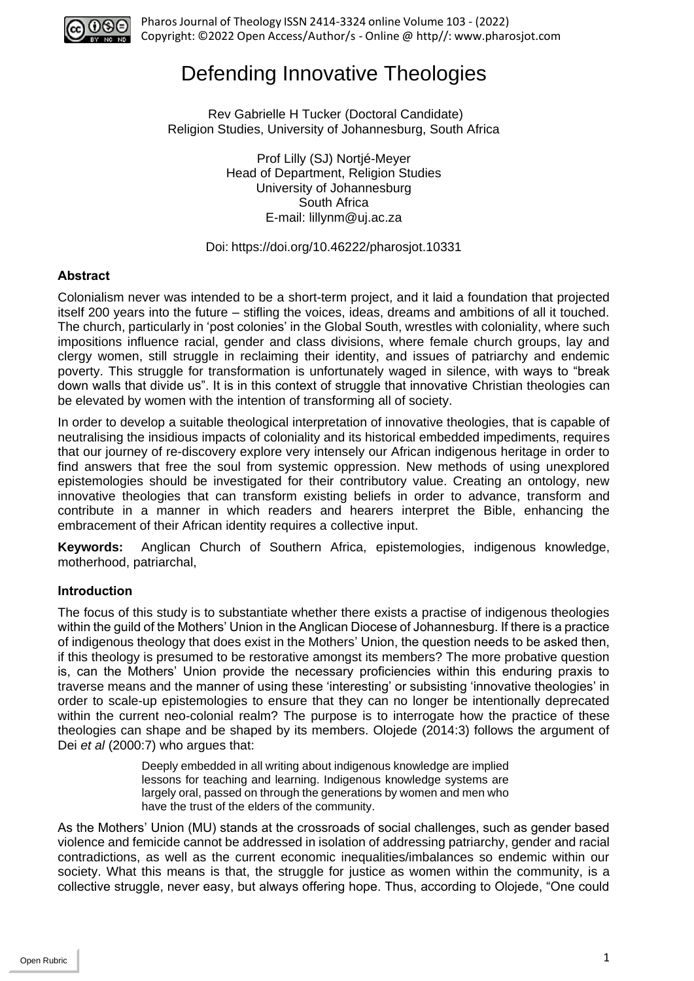

# Defending Innovative Theologies

Rev Gabrielle H Tucker (Doctoral Candidate) Religion Studies, University of Johannesburg, South Africa

> Prof Lilly (SJ) Nortjé-Meyer Head of Department, Religion Studies University of Johannesburg South Africa E-mail: [lillynm@uj.ac.za](mailto:lillynm@uj.ac.za)

#### Doi: https://doi.org/10.46222/pharosjot.10331

## **Abstract**

Colonialism never was intended to be a short-term project, and it laid a foundation that projected itself 200 years into the future – stifling the voices, ideas, dreams and ambitions of all it touched. The church, particularly in 'post colonies' in the Global South, wrestles with coloniality, where such impositions influence racial, gender and class divisions, where female church groups, lay and clergy women, still struggle in reclaiming their identity, and issues of patriarchy and endemic poverty. This struggle for transformation is unfortunately waged in silence, with ways to "break down walls that divide us". It is in this context of struggle that innovative Christian theologies can be elevated by women with the intention of transforming all of society.

In order to develop a suitable theological interpretation of innovative theologies, that is capable of neutralising the insidious impacts of coloniality and its historical embedded impediments, requires that our journey of re-discovery explore very intensely our African indigenous heritage in order to find answers that free the soul from systemic oppression. New methods of using unexplored epistemologies should be investigated for their contributory value. Creating an ontology, new innovative theologies that can transform existing beliefs in order to advance, transform and contribute in a manner in which readers and hearers interpret the Bible, enhancing the embracement of their African identity requires a collective input.

**Keywords:** Anglican Church of Southern Africa, epistemologies, indigenous knowledge, motherhood, patriarchal,

## **Introduction**

The focus of this study is to substantiate whether there exists a practise of indigenous theologies within the guild of the Mothers' Union in the Anglican Diocese of Johannesburg. If there is a practice of indigenous theology that does exist in the Mothers' Union, the question needs to be asked then, if this theology is presumed to be restorative amongst its members? The more probative question is, can the Mothers' Union provide the necessary proficiencies within this enduring praxis to traverse means and the manner of using these 'interesting' or subsisting 'innovative theologies' in order to scale-up epistemologies to ensure that they can no longer be intentionally deprecated within the current neo-colonial realm? The purpose is to interrogate how the practice of these theologies can shape and be shaped by its members. Olojede (2014:3) follows the argument of Dei *et al* (2000:7) who argues that:

> Deeply embedded in all writing about indigenous knowledge are implied lessons for teaching and learning. Indigenous knowledge systems are largely oral, passed on through the generations by women and men who have the trust of the elders of the community.

As the Mothers' Union (MU) stands at the crossroads of social challenges, such as gender based violence and femicide cannot be addressed in isolation of addressing patriarchy, gender and racial contradictions, as well as the current economic inequalities/imbalances so endemic within our society. What this means is that, the struggle for justice as women within the community, is a collective struggle, never easy, but always offering hope. Thus, according to Olojede, "One could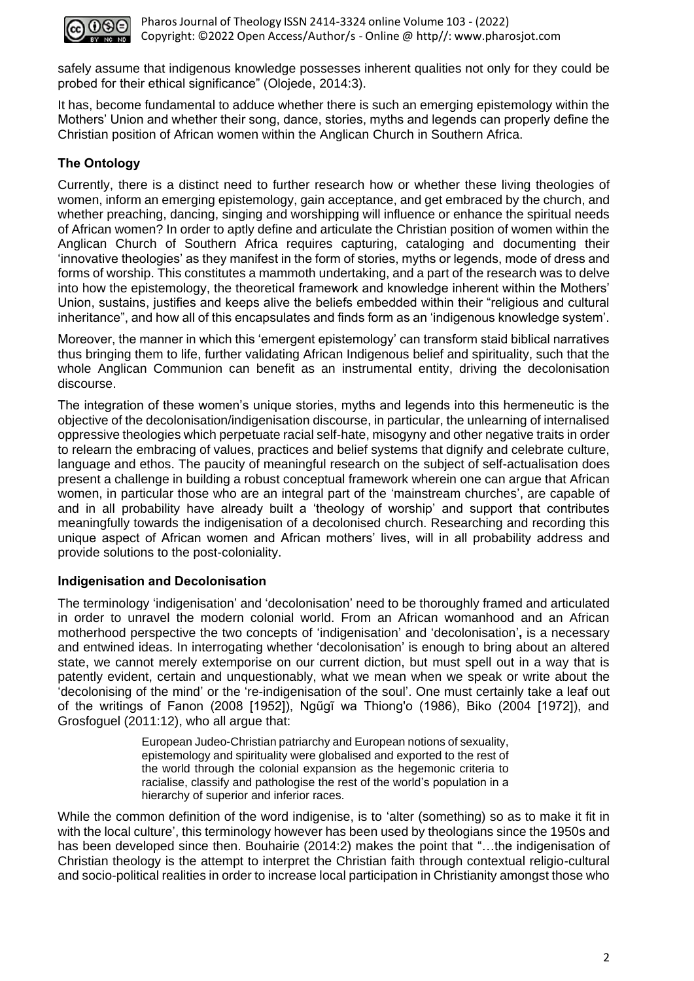

safely assume that indigenous knowledge possesses inherent qualities not only for they could be probed for their ethical significance" (Olojede, 2014:3).

It has, become fundamental to adduce whether there is such an emerging epistemology within the Mothers' Union and whether their song, dance, stories, myths and legends can properly define the Christian position of African women within the Anglican Church in Southern Africa.

# **The Ontology**

Currently, there is a distinct need to further research how or whether these living theologies of women, inform an emerging epistemology, gain acceptance, and get embraced by the church, and whether preaching, dancing, singing and worshipping will influence or enhance the spiritual needs of African women? In order to aptly define and articulate the Christian position of women within the Anglican Church of Southern Africa requires capturing, cataloging and documenting their 'innovative theologies' as they manifest in the form of stories, myths or legends, mode of dress and forms of worship. This constitutes a mammoth undertaking, and a part of the research was to delve into how the epistemology, the theoretical framework and knowledge inherent within the Mothers' Union, sustains, justifies and keeps alive the beliefs embedded within their "religious and cultural inheritance", and how all of this encapsulates and finds form as an 'indigenous knowledge system'.

Moreover, the manner in which this 'emergent epistemology' can transform staid biblical narratives thus bringing them to life, further validating African Indigenous belief and spirituality, such that the whole Anglican Communion can benefit as an instrumental entity, driving the decolonisation discourse.

The integration of these women's unique stories, myths and legends into this hermeneutic is the objective of the decolonisation/indigenisation discourse, in particular, the unlearning of internalised oppressive theologies which perpetuate racial self-hate, misogyny and other negative traits in order to relearn the embracing of values, practices and belief systems that dignify and celebrate culture, language and ethos. The paucity of meaningful research on the subject of self-actualisation does present a challenge in building a robust conceptual framework wherein one can argue that African women, in particular those who are an integral part of the 'mainstream churches', are capable of and in all probability have already built a 'theology of worship' and support that contributes meaningfully towards the indigenisation of a decolonised church. Researching and recording this unique aspect of African women and African mothers' lives, will in all probability address and provide solutions to the post-coloniality.

# **Indigenisation and Decolonisation**

The terminology 'indigenisation' and 'decolonisation' need to be thoroughly framed and articulated in order to unravel the modern colonial world. From an African womanhood and an African motherhood perspective the two concepts of 'indigenisation' and 'decolonisation'**,** is a necessary and entwined ideas. In interrogating whether 'decolonisation' is enough to bring about an altered state, we cannot merely extemporise on our current diction, but must spell out in a way that is patently evident, certain and unquestionably, what we mean when we speak or write about the 'decolonising of the mind' or the 're-indigenisation of the soul'. One must certainly take a leaf out of the writings of Fanon (2008 [1952]), Ngũgĩ wa Thiong'o (1986), Biko (2004 [1972]), and Grosfoguel (2011:12), who all argue that:

> European Judeo-Christian patriarchy and European notions of sexuality, epistemology and spirituality were globalised and exported to the rest of the world through the colonial expansion as the hegemonic criteria to racialise, classify and pathologise the rest of the world's population in a hierarchy of superior and inferior races.

While the common definition of the word indigenise, is to 'alter (something) so as to make it fit in with the local culture', this terminology however has been used by theologians since the 1950s and has been developed since then. Bouhairie (2014:2) makes the point that "...the indigenisation of Christian theology is the attempt to interpret the Christian faith through contextual religio-cultural and socio-political realities in order to increase local participation in Christianity amongst those who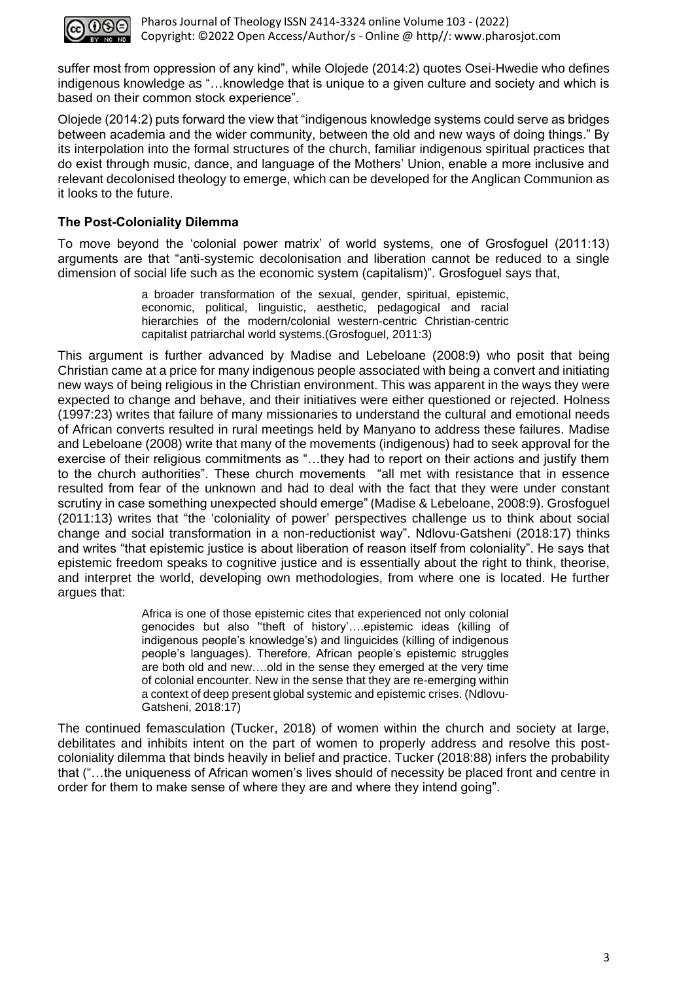

suffer most from oppression of any kind", while Olojede (2014:2) quotes Osei-Hwedie who defines indigenous knowledge as "…knowledge that is unique to a given culture and society and which is based on their common stock experience".

Olojede (2014:2) puts forward the view that "indigenous knowledge systems could serve as bridges between academia and the wider community, between the old and new ways of doing things." By its interpolation into the formal structures of the church, familiar indigenous spiritual practices that do exist through music, dance, and language of the Mothers' Union, enable a more inclusive and relevant decolonised theology to emerge, which can be developed for the Anglican Communion as it looks to the future.

# **The Post-Coloniality Dilemma**

To move beyond the 'colonial power matrix' of world systems, one of Grosfoguel (2011:13) arguments are that "anti-systemic decolonisation and liberation cannot be reduced to a single dimension of social life such as the economic system (capitalism)". Grosfoguel says that,

> a broader transformation of the sexual, gender, spiritual, epistemic, economic, political, linguistic, aesthetic, pedagogical and racial hierarchies of the modern/colonial western-centric Christian-centric capitalist patriarchal world systems.(Grosfoguel, 2011:3)

This argument is further advanced by Madise and Lebeloane (2008:9) who posit that being Christian came at a price for many indigenous people associated with being a convert and initiating new ways of being religious in the Christian environment. This was apparent in the ways they were expected to change and behave, and their initiatives were either questioned or rejected. Holness (1997:23) writes that failure of many missionaries to understand the cultural and emotional needs of African converts resulted in rural meetings held by Manyano to address these failures. Madise and Lebeloane (2008) write that many of the movements (indigenous) had to seek approval for the exercise of their religious commitments as "…they had to report on their actions and justify them to the church authorities". These church movements "all met with resistance that in essence resulted from fear of the unknown and had to deal with the fact that they were under constant scrutiny in case something unexpected should emerge" (Madise & Lebeloane, 2008:9). Grosfoguel (2011:13) writes that "the 'coloniality of power' perspectives challenge us to think about social change and social transformation in a non-reductionist way". Ndlovu-Gatsheni (2018:17) thinks and writes "that epistemic justice is about liberation of reason itself from coloniality". He says that epistemic freedom speaks to cognitive justice and is essentially about the right to think, theorise, and interpret the world, developing own methodologies, from where one is located. He further argues that:

> Africa is one of those epistemic cites that experienced not only colonial genocides but also ''theft of history'….epistemic ideas (killing of indigenous people's knowledge's) and linguicides (killing of indigenous people's languages). Therefore, African people's epistemic struggles are both old and new….old in the sense they emerged at the very time of colonial encounter. New in the sense that they are re-emerging within a context of deep present global systemic and epistemic crises. (Ndlovu-Gatsheni, 2018:17)

The continued femasculation (Tucker, 2018) of women within the church and society at large, debilitates and inhibits intent on the part of women to properly address and resolve this postcoloniality dilemma that binds heavily in belief and practice. Tucker (2018:88) infers the probability that ("…the uniqueness of African women's lives should of necessity be placed front and centre in order for them to make sense of where they are and where they intend going".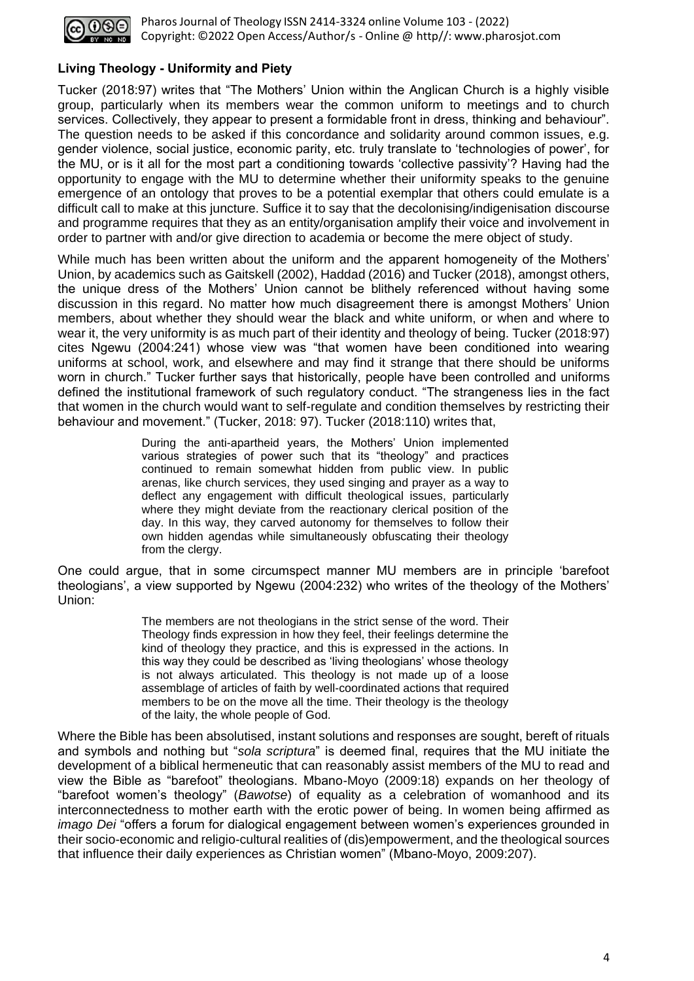

# **Living Theology - Uniformity and Piety**

Tucker (2018:97) writes that "The Mothers' Union within the Anglican Church is a highly visible group, particularly when its members wear the common uniform to meetings and to church services. Collectively, they appear to present a formidable front in dress, thinking and behaviour". The question needs to be asked if this concordance and solidarity around common issues, e.g. gender violence, social justice, economic parity, etc. truly translate to 'technologies of power', for the MU, or is it all for the most part a conditioning towards 'collective passivity'? Having had the opportunity to engage with the MU to determine whether their uniformity speaks to the genuine emergence of an ontology that proves to be a potential exemplar that others could emulate is a difficult call to make at this juncture. Suffice it to say that the decolonising/indigenisation discourse and programme requires that they as an entity/organisation amplify their voice and involvement in order to partner with and/or give direction to academia or become the mere object of study.

While much has been written about the uniform and the apparent homogeneity of the Mothers' Union, by academics such as Gaitskell (2002), Haddad (2016) and Tucker (2018), amongst others, the unique dress of the Mothers' Union cannot be blithely referenced without having some discussion in this regard. No matter how much disagreement there is amongst Mothers' Union members, about whether they should wear the black and white uniform, or when and where to wear it, the very uniformity is as much part of their identity and theology of being. Tucker (2018:97) cites Ngewu (2004:241) whose view was "that women have been conditioned into wearing uniforms at school, work, and elsewhere and may find it strange that there should be uniforms worn in church." Tucker further says that historically, people have been controlled and uniforms defined the institutional framework of such regulatory conduct. "The strangeness lies in the fact that women in the church would want to self-regulate and condition themselves by restricting their behaviour and movement." (Tucker, 2018: 97). Tucker (2018:110) writes that,

> During the anti-apartheid years, the Mothers' Union implemented various strategies of power such that its "theology" and practices continued to remain somewhat hidden from public view. In public arenas, like church services, they used singing and prayer as a way to deflect any engagement with difficult theological issues, particularly where they might deviate from the reactionary clerical position of the day. In this way, they carved autonomy for themselves to follow their own hidden agendas while simultaneously obfuscating their theology from the clergy.

One could argue, that in some circumspect manner MU members are in principle 'barefoot theologians', a view supported by Ngewu (2004:232) who writes of the theology of the Mothers' Union:

> The members are not theologians in the strict sense of the word. Their Theology finds expression in how they feel, their feelings determine the kind of theology they practice, and this is expressed in the actions. In this way they could be described as 'living theologians' whose theology is not always articulated. This theology is not made up of a loose assemblage of articles of faith by well-coordinated actions that required members to be on the move all the time. Their theology is the theology of the laity, the whole people of God.

Where the Bible has been absolutised, instant solutions and responses are sought, bereft of rituals and symbols and nothing but "*sola scriptura*" is deemed final, requires that the MU initiate the development of a biblical hermeneutic that can reasonably assist members of the MU to read and view the Bible as "barefoot" theologians. Mbano-Moyo (2009:18) expands on her theology of "barefoot women's theology" (*Bawotse*) of equality as a celebration of womanhood and its interconnectedness to mother earth with the erotic power of being. In women being affirmed as *imago Dei* "offers a forum for dialogical engagement between women's experiences grounded in their socio-economic and religio-cultural realities of (dis)empowerment, and the theological sources that influence their daily experiences as Christian women" (Mbano-Moyo, 2009:207).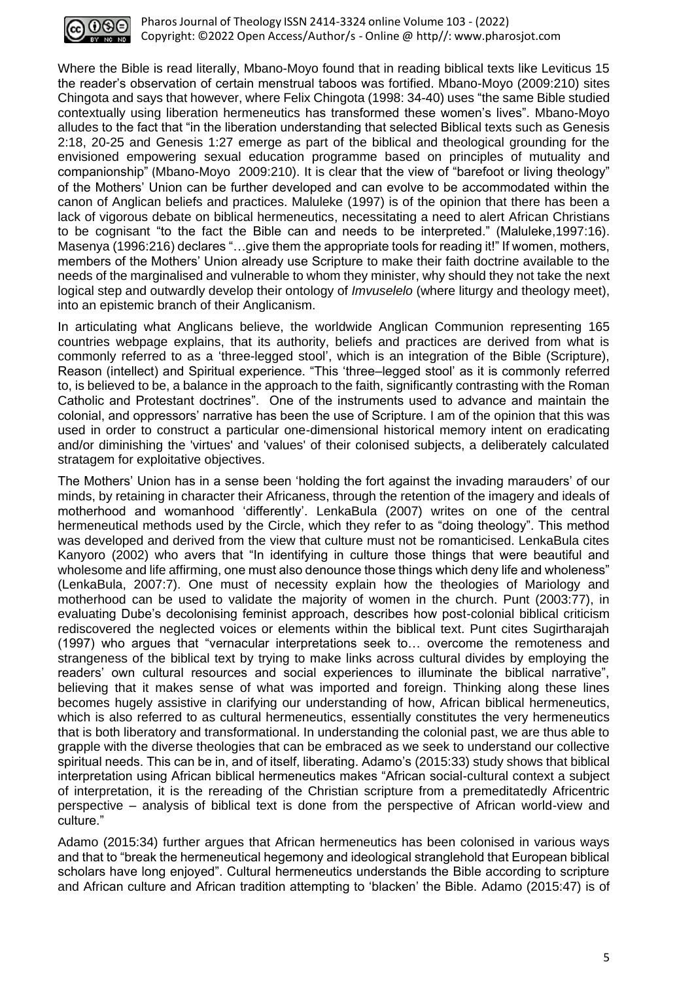

Where the Bible is read literally, Mbano-Moyo found that in reading biblical texts like Leviticus 15 the reader's observation of certain menstrual taboos was fortified. Mbano-Moyo (2009:210) sites Chingota and says that however, where Felix Chingota (1998: 34-40) uses "the same Bible studied contextually using liberation hermeneutics has transformed these women's lives". Mbano-Moyo alludes to the fact that "in the liberation understanding that selected Biblical texts such as Genesis 2:18, 20-25 and Genesis 1:27 emerge as part of the biblical and theological grounding for the envisioned empowering sexual education programme based on principles of mutuality and companionship" (Mbano-Moyo 2009:210). It is clear that the view of "barefoot or living theology" of the Mothers' Union can be further developed and can evolve to be accommodated within the canon of Anglican beliefs and practices. Maluleke (1997) is of the opinion that there has been a lack of vigorous debate on biblical hermeneutics, necessitating a need to alert African Christians to be cognisant "to the fact the Bible can and needs to be interpreted." (Maluleke,1997:16). Masenya (1996:216) declares "…give them the appropriate tools for reading it!" If women, mothers, members of the Mothers' Union already use Scripture to make their faith doctrine available to the needs of the marginalised and vulnerable to whom they minister, why should they not take the next logical step and outwardly develop their ontology of *Imvuselelo* (where liturgy and theology meet), into an epistemic branch of their Anglicanism.

In articulating what Anglicans believe, the worldwide Anglican Communion representing 165 countries webpage explains, that its authority, beliefs and practices are derived from what is commonly referred to as a 'three-legged stool', which is an integration of the Bible (Scripture), Reason (intellect) and Spiritual experience. "This 'three–legged stool' as it is commonly referred to, is believed to be, a balance in the approach to the faith, significantly contrasting with the Roman Catholic and Protestant doctrines". One of the instruments used to advance and maintain the colonial, and oppressors' narrative has been the use of Scripture. I am of the opinion that this was used in order to construct a particular one-dimensional historical memory intent on eradicating and/or diminishing the 'virtues' and 'values' of their colonised subjects, a deliberately calculated stratagem for exploitative objectives.

The Mothers' Union has in a sense been 'holding the fort against the invading marauders' of our minds, by retaining in character their Africaness, through the retention of the imagery and ideals of motherhood and womanhood 'differently'. LenkaBula (2007) writes on one of the central hermeneutical methods used by the Circle, which they refer to as "doing theology". This method was developed and derived from the view that culture must not be romanticised. LenkaBula cites Kanyoro (2002) who avers that "In identifying in culture those things that were beautiful and wholesome and life affirming, one must also denounce those things which deny life and wholeness" (LenkaBula, 2007:7). One must of necessity explain how the theologies of Mariology and motherhood can be used to validate the majority of women in the church. Punt (2003:77), in evaluating Dube's decolonising feminist approach, describes how post-colonial biblical criticism rediscovered the neglected voices or elements within the biblical text. Punt cites Sugirtharajah (1997) who argues that "vernacular interpretations seek to… overcome the remoteness and strangeness of the biblical text by trying to make links across cultural divides by employing the readers' own cultural resources and social experiences to illuminate the biblical narrative", believing that it makes sense of what was imported and foreign. Thinking along these lines becomes hugely assistive in clarifying our understanding of how, African biblical hermeneutics, which is also referred to as cultural hermeneutics, essentially constitutes the very hermeneutics that is both liberatory and transformational. In understanding the colonial past, we are thus able to grapple with the diverse theologies that can be embraced as we seek to understand our collective spiritual needs. This can be in, and of itself, liberating. Adamo's (2015:33) study shows that biblical interpretation using African biblical hermeneutics makes "African social-cultural context a subject of interpretation, it is the rereading of the Christian scripture from a premeditatedly Africentric perspective – analysis of biblical text is done from the perspective of African world-view and culture."

Adamo (2015:34) further argues that African hermeneutics has been colonised in various ways and that to "break the hermeneutical hegemony and ideological stranglehold that European biblical scholars have long enjoyed". Cultural hermeneutics understands the Bible according to scripture and African culture and African tradition attempting to 'blacken' the Bible. Adamo (2015:47) is of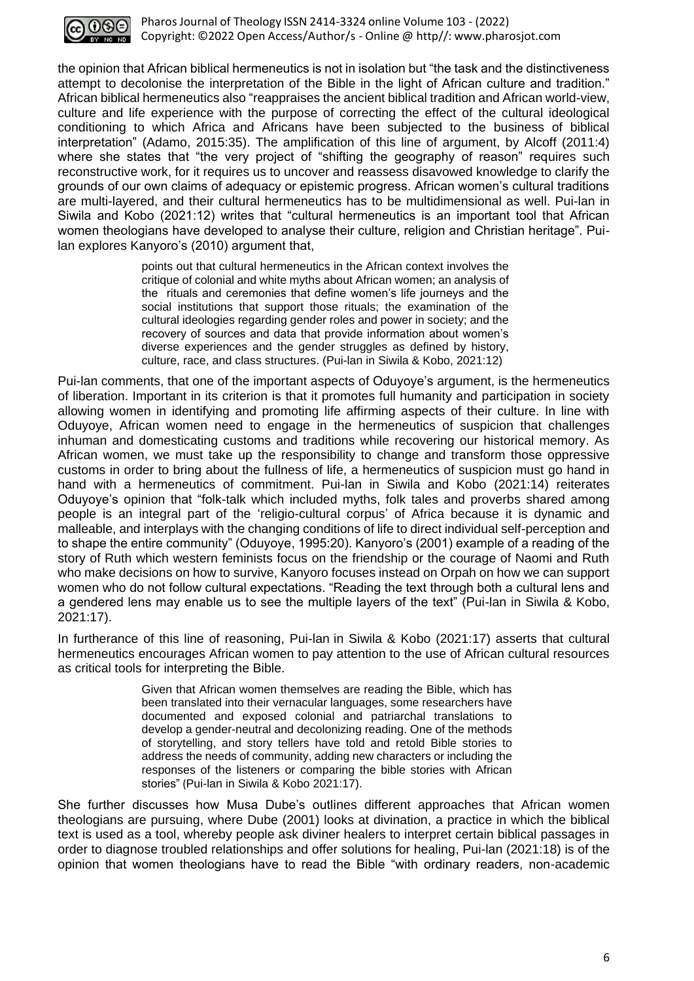

the opinion that African biblical hermeneutics is not in isolation but "the task and the distinctiveness attempt to decolonise the interpretation of the Bible in the light of African culture and tradition." African biblical hermeneutics also "reappraises the ancient biblical tradition and African world-view, culture and life experience with the purpose of correcting the effect of the cultural ideological conditioning to which Africa and Africans have been subjected to the business of biblical interpretation" (Adamo, 2015:35). The amplification of this line of argument, by Alcoff (2011:4) where she states that "the very project of "shifting the geography of reason" requires such reconstructive work, for it requires us to uncover and reassess disavowed knowledge to clarify the grounds of our own claims of adequacy or epistemic progress. African women's cultural traditions are multi-layered, and their cultural hermeneutics has to be multidimensional as well. Pui-lan in Siwila and Kobo (2021:12) writes that "cultural hermeneutics is an important tool that African women theologians have developed to analyse their culture, religion and Christian heritage". Puilan explores Kanyoro's (2010) argument that,

> points out that cultural hermeneutics in the African context involves the critique of colonial and white myths about African women; an analysis of the rituals and ceremonies that define women's life journeys and the social institutions that support those rituals; the examination of the cultural ideologies regarding gender roles and power in society; and the recovery of sources and data that provide information about women's diverse experiences and the gender struggles as defined by history, culture, race, and class structures. (Pui-lan in Siwila & Kobo, 2021:12)

Pui-lan comments, that one of the important aspects of Oduyoye's argument, is the hermeneutics of liberation. Important in its criterion is that it promotes full humanity and participation in society allowing women in identifying and promoting life affirming aspects of their culture. In line with Oduyoye, African women need to engage in the hermeneutics of suspicion that challenges inhuman and domesticating customs and traditions while recovering our historical memory. As African women, we must take up the responsibility to change and transform those oppressive customs in order to bring about the fullness of life, a hermeneutics of suspicion must go hand in hand with a hermeneutics of commitment. Pui-lan in Siwila and Kobo (2021:14) reiterates Oduyoye's opinion that "folk-talk which included myths, folk tales and proverbs shared among people is an integral part of the 'religio-cultural corpus' of Africa because it is dynamic and malleable, and interplays with the changing conditions of life to direct individual self-perception and to shape the entire community" (Oduyoye, 1995:20). Kanyoro's (2001) example of a reading of the story of Ruth which western feminists focus on the friendship or the courage of Naomi and Ruth who make decisions on how to survive, Kanyoro focuses instead on Orpah on how we can support women who do not follow cultural expectations. "Reading the text through both a cultural lens and a gendered lens may enable us to see the multiple layers of the text" (Pui-lan in Siwila & Kobo, 2021:17).

In furtherance of this line of reasoning, Pui-lan in Siwila & Kobo (2021:17) asserts that cultural hermeneutics encourages African women to pay attention to the use of African cultural resources as critical tools for interpreting the Bible.

> Given that African women themselves are reading the Bible, which has been translated into their vernacular languages, some researchers have documented and exposed colonial and patriarchal translations to develop a gender-neutral and decolonizing reading. One of the methods of storytelling, and story tellers have told and retold Bible stories to address the needs of community, adding new characters or including the responses of the listeners or comparing the bible stories with African stories" (Pui-lan in Siwila & Kobo 2021:17).

She further discusses how Musa Dube's outlines different approaches that African women theologians are pursuing, where Dube (2001) looks at divination, a practice in which the biblical text is used as a tool, whereby people ask diviner healers to interpret certain biblical passages in order to diagnose troubled relationships and offer solutions for healing, Pui-lan (2021:18) is of the opinion that women theologians have to read the Bible "with ordinary readers, non-academic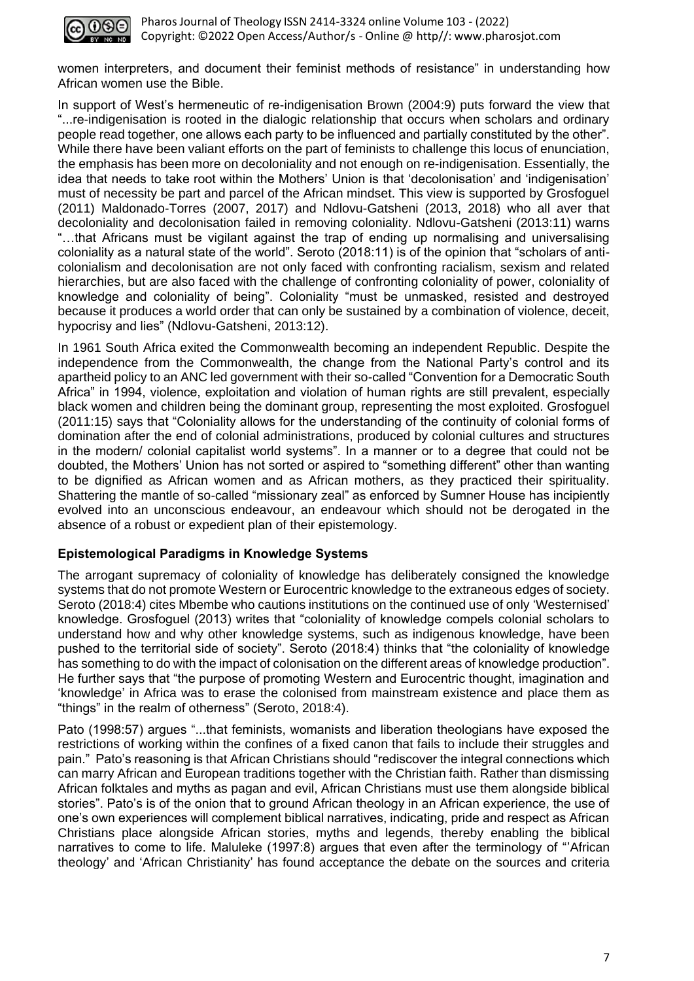

women interpreters, and document their feminist methods of resistance" in understanding how African women use the Bible.

In support of West's hermeneutic of re-indigenisation Brown (2004:9) puts forward the view that "...re-indigenisation is rooted in the dialogic relationship that occurs when scholars and ordinary people read together, one allows each party to be influenced and partially constituted by the other". While there have been valiant efforts on the part of feminists to challenge this locus of enunciation, the emphasis has been more on decoloniality and not enough on re-indigenisation. Essentially, the idea that needs to take root within the Mothers' Union is that 'decolonisation' and 'indigenisation' must of necessity be part and parcel of the African mindset. This view is supported by Grosfoguel (2011) Maldonado-Torres (2007, 2017) and Ndlovu-Gatsheni (2013, 2018) who all aver that decoloniality and decolonisation failed in removing coloniality. Ndlovu-Gatsheni (2013:11) warns "…that Africans must be vigilant against the trap of ending up normalising and universalising coloniality as a natural state of the world". Seroto (2018:11) is of the opinion that "scholars of anticolonialism and decolonisation are not only faced with confronting racialism, sexism and related hierarchies, but are also faced with the challenge of confronting coloniality of power, coloniality of knowledge and coloniality of being". Coloniality "must be unmasked, resisted and destroyed because it produces a world order that can only be sustained by a combination of violence, deceit, hypocrisy and lies" (Ndlovu-Gatsheni, 2013:12).

In 1961 South Africa exited the Commonwealth becoming an independent Republic. Despite the independence from the Commonwealth, the change from the National Party's control and its apartheid policy to an ANC led government with their so-called "Convention for a Democratic South Africa" in 1994, violence, exploitation and violation of human rights are still prevalent, especially black women and children being the dominant group, representing the most exploited. Grosfoguel (2011:15) says that "Coloniality allows for the understanding of the continuity of colonial forms of domination after the end of colonial administrations, produced by colonial cultures and structures in the modern/ colonial capitalist world systems". In a manner or to a degree that could not be doubted, the Mothers' Union has not sorted or aspired to "something different" other than wanting to be dignified as African women and as African mothers, as they practiced their spirituality. Shattering the mantle of so-called "missionary zeal" as enforced by Sumner House has incipiently evolved into an unconscious endeavour, an endeavour which should not be derogated in the absence of a robust or expedient plan of their epistemology.

## **Epistemological Paradigms in Knowledge Systems**

The arrogant supremacy of coloniality of knowledge has deliberately consigned the knowledge systems that do not promote Western or Eurocentric knowledge to the extraneous edges of society. Seroto (2018:4) cites Mbembe who cautions institutions on the continued use of only 'Westernised' knowledge. Grosfoguel (2013) writes that "coloniality of knowledge compels colonial scholars to understand how and why other knowledge systems, such as indigenous knowledge, have been pushed to the territorial side of society". Seroto (2018:4) thinks that "the coloniality of knowledge has something to do with the impact of colonisation on the different areas of knowledge production". He further says that "the purpose of promoting Western and Eurocentric thought, imagination and 'knowledge' in Africa was to erase the colonised from mainstream existence and place them as "things" in the realm of otherness" (Seroto, 2018:4).

Pato (1998:57) argues "...that feminists, womanists and liberation theologians have exposed the restrictions of working within the confines of a fixed canon that fails to include their struggles and pain." Pato's reasoning is that African Christians should "rediscover the integral connections which can marry African and European traditions together with the Christian faith. Rather than dismissing African folktales and myths as pagan and evil, African Christians must use them alongside biblical stories". Pato's is of the onion that to ground African theology in an African experience, the use of one's own experiences will complement biblical narratives, indicating, pride and respect as African Christians place alongside African stories, myths and legends, thereby enabling the biblical narratives to come to life. Maluleke (1997:8) argues that even after the terminology of "'African theology' and 'African Christianity' has found acceptance the debate on the sources and criteria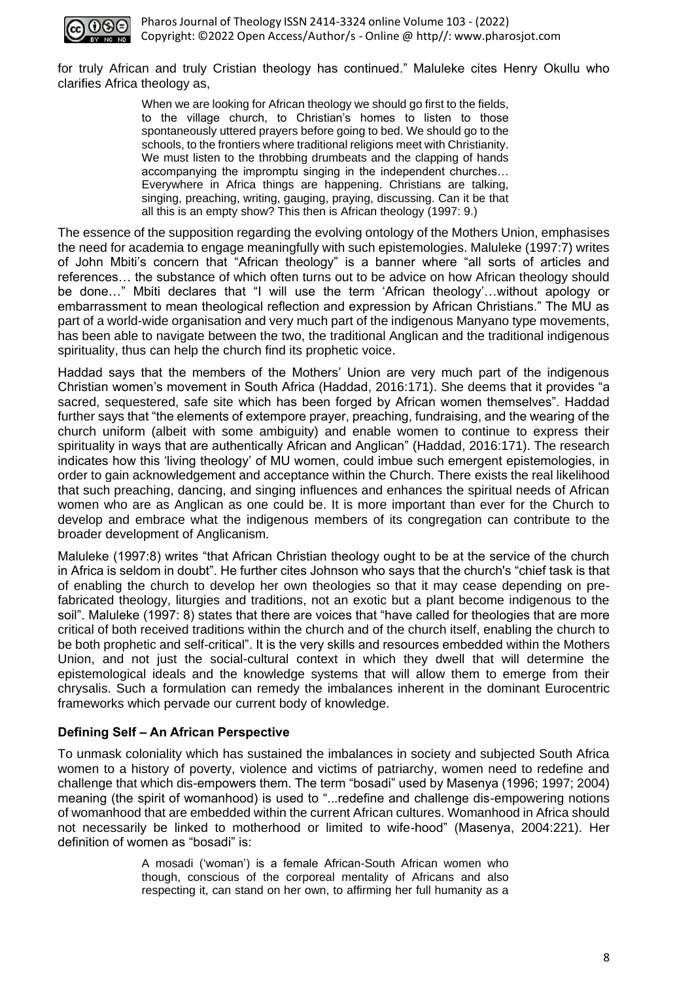

for truly African and truly Cristian theology has continued." Maluleke cites Henry Okullu who clarifies Africa theology as,

> When we are looking for African theology we should go first to the fields, to the village church, to Christian's homes to listen to those spontaneously uttered prayers before going to bed. We should go to the schools, to the frontiers where traditional religions meet with Christianity. We must listen to the throbbing drumbeats and the clapping of hands accompanying the impromptu singing in the independent churches… Everywhere in Africa things are happening. Christians are talking, singing, preaching, writing, gauging, praying, discussing. Can it be that all this is an empty show? This then is African theology (1997: 9.)

The essence of the supposition regarding the evolving ontology of the Mothers Union, emphasises the need for academia to engage meaningfully with such epistemologies. Maluleke (1997:7) writes of John Mbiti's concern that "African theology" is a banner where "all sorts of articles and references… the substance of which often turns out to be advice on how African theology should be done…" Mbiti declares that "I will use the term 'African theology'…without apology or embarrassment to mean theological reflection and expression by African Christians." The MU as part of a world-wide organisation and very much part of the indigenous Manyano type movements, has been able to navigate between the two, the traditional Anglican and the traditional indigenous spirituality, thus can help the church find its prophetic voice.

Haddad says that the members of the Mothers' Union are very much part of the indigenous Christian women's movement in South Africa (Haddad, 2016:171). She deems that it provides "a sacred, sequestered, safe site which has been forged by African women themselves". Haddad further says that "the elements of extempore prayer, preaching, fundraising, and the wearing of the church uniform (albeit with some ambiguity) and enable women to continue to express their spirituality in ways that are authentically African and Anglican" (Haddad, 2016:171). The research indicates how this 'living theology' of MU women, could imbue such emergent epistemologies, in order to gain acknowledgement and acceptance within the Church. There exists the real likelihood that such preaching, dancing, and singing influences and enhances the spiritual needs of African women who are as Anglican as one could be. It is more important than ever for the Church to develop and embrace what the indigenous members of its congregation can contribute to the broader development of Anglicanism.

Maluleke (1997:8) writes "that African Christian theology ought to be at the service of the church in Africa is seldom in doubt". He further cites Johnson who says that the church's "chief task is that of enabling the church to develop her own theologies so that it may cease depending on prefabricated theology, liturgies and traditions, not an exotic but a plant become indigenous to the soil". Maluleke (1997: 8) states that there are voices that "have called for theologies that are more critical of both received traditions within the church and of the church itself, enabling the church to be both prophetic and self-critical". It is the very skills and resources embedded within the Mothers Union, and not just the social-cultural context in which they dwell that will determine the epistemological ideals and the knowledge systems that will allow them to emerge from their chrysalis. Such a formulation can remedy the imbalances inherent in the dominant Eurocentric frameworks which pervade our current body of knowledge.

## **Defining Self – An African Perspective**

To unmask coloniality which has sustained the imbalances in society and subjected South Africa women to a history of poverty, violence and victims of patriarchy, women need to redefine and challenge that which dis-empowers them. The term "bosadi" used by Masenya (1996; 1997; 2004) meaning (the spirit of womanhood) is used to "...redefine and challenge dis-empowering notions of womanhood that are embedded within the current African cultures. Womanhood in Africa should not necessarily be linked to motherhood or limited to wife-hood" (Masenya, 2004:221). Her definition of women as "bosadi" is:

> A mosadi ('woman') is a female African-South African women who though, conscious of the corporeal mentality of Africans and also respecting it, can stand on her own, to affirming her full humanity as a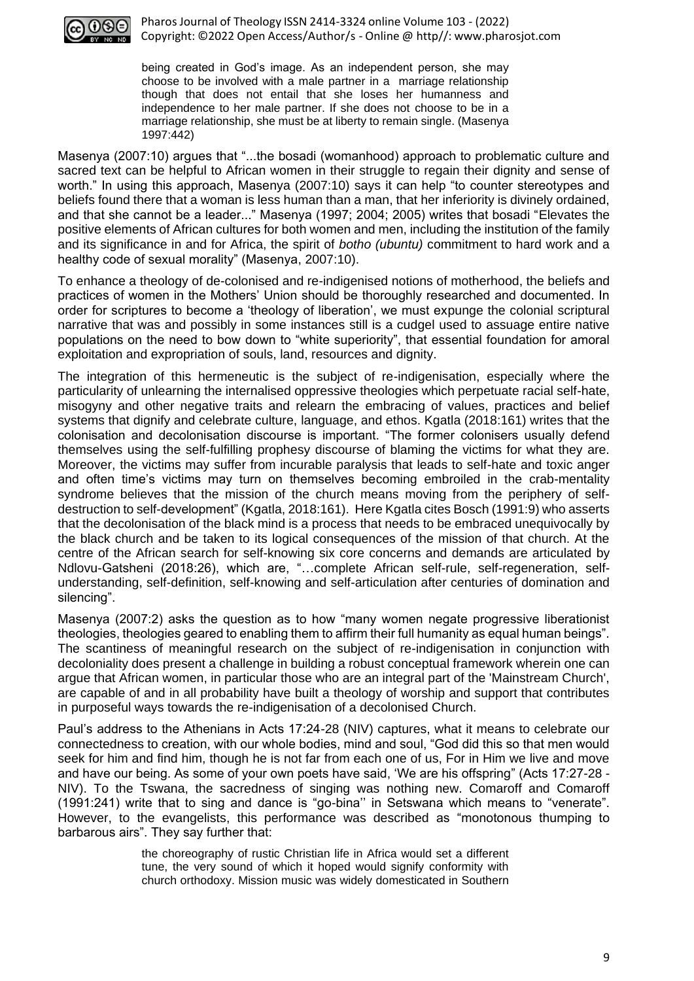

being created in God's image. As an independent person, she may choose to be involved with a male partner in a marriage relationship though that does not entail that she loses her humanness and independence to her male partner. If she does not choose to be in a marriage relationship, she must be at liberty to remain single. (Masenya 1997:442)

Masenya (2007:10) argues that "...the bosadi (womanhood) approach to problematic culture and sacred text can be helpful to African women in their struggle to regain their dignity and sense of worth." In using this approach, Masenya (2007:10) says it can help "to counter stereotypes and beliefs found there that a woman is less human than a man, that her inferiority is divinely ordained, and that she cannot be a leader..." Masenya (1997; 2004; 2005) writes that bosadi "Elevates the positive elements of African cultures for both women and men, including the institution of the family and its significance in and for Africa, the spirit of *botho (ubuntu)* commitment to hard work and a healthy code of sexual morality" (Masenya, 2007:10).

To enhance a theology of de-colonised and re-indigenised notions of motherhood, the beliefs and practices of women in the Mothers' Union should be thoroughly researched and documented. In order for scriptures to become a 'theology of liberation', we must expunge the colonial scriptural narrative that was and possibly in some instances still is a cudgel used to assuage entire native populations on the need to bow down to "white superiority", that essential foundation for amoral exploitation and expropriation of souls, land, resources and dignity.

The integration of this hermeneutic is the subject of re-indigenisation, especially where the particularity of unlearning the internalised oppressive theologies which perpetuate racial self-hate, misogyny and other negative traits and relearn the embracing of values, practices and belief systems that dignify and celebrate culture, language, and ethos. Kgatla (2018:161) writes that the colonisation and decolonisation discourse is important. "The former colonisers usually defend themselves using the self-fulfilling prophesy discourse of blaming the victims for what they are. Moreover, the victims may suffer from incurable paralysis that leads to self-hate and toxic anger and often time's victims may turn on themselves becoming embroiled in the crab-mentality syndrome believes that the mission of the church means moving from the periphery of selfdestruction to self-development" (Kgatla, 2018:161). Here Kgatla cites Bosch (1991:9) who asserts that the decolonisation of the black mind is a process that needs to be embraced unequivocally by the black church and be taken to its logical consequences of the mission of that church. At the centre of the African search for self-knowing six core concerns and demands are articulated by Ndlovu-Gatsheni (2018:26), which are, "…complete African self-rule, self-regeneration, selfunderstanding, self-definition, self-knowing and self-articulation after centuries of domination and silencing".

Masenya (2007:2) asks the question as to how "many women negate progressive liberationist theologies, theologies geared to enabling them to affirm their full humanity as equal human beings". The scantiness of meaningful research on the subject of re-indigenisation in conjunction with decoloniality does present a challenge in building a robust conceptual framework wherein one can argue that African women, in particular those who are an integral part of the 'Mainstream Church', are capable of and in all probability have built a theology of worship and support that contributes in purposeful ways towards the re-indigenisation of a decolonised Church.

Paul's address to the Athenians in Acts 17:24-28 (NIV) captures, what it means to celebrate our connectedness to creation, with our whole bodies, mind and soul, "God did this so that men would seek for him and find him, though he is not far from each one of us, For in Him we live and move and have our being. As some of your own poets have said, 'We are his offspring" (Acts 17:27-28 - NIV). To the Tswana, the sacredness of singing was nothing new. Comaroff and Comaroff (1991:241) write that to sing and dance is "go-bina'' in Setswana which means to "venerate". However, to the evangelists, this performance was described as "monotonous thumping to barbarous airs". They say further that:

> the choreography of rustic Christian life in Africa would set a different tune, the very sound of which it hoped would signify conformity with church orthodoxy. Mission music was widely domesticated in Southern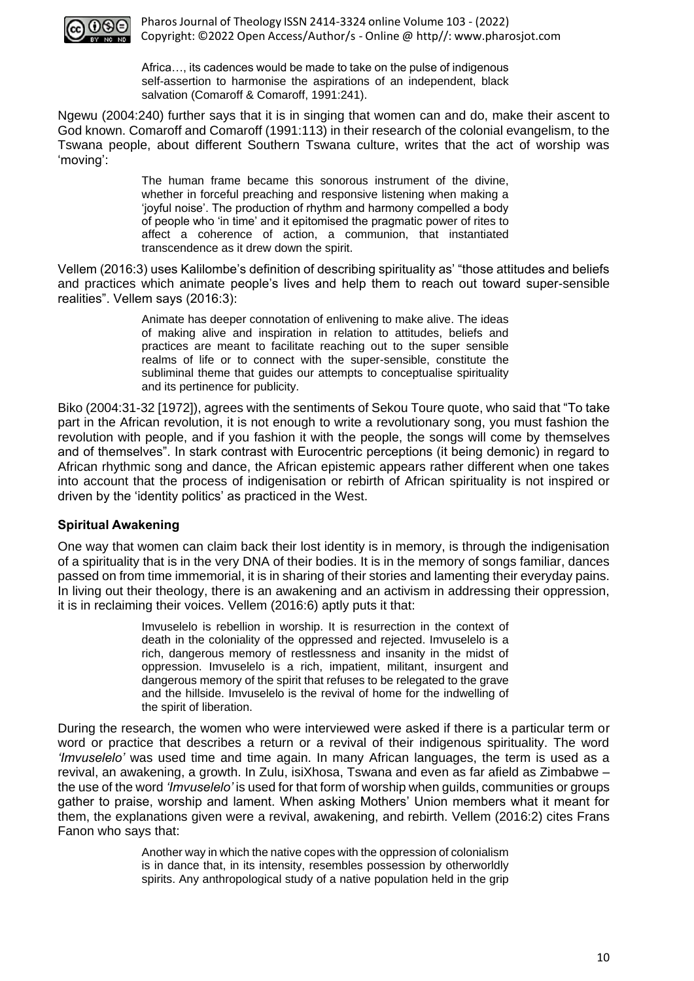

Africa…, its cadences would be made to take on the pulse of indigenous self-assertion to harmonise the aspirations of an independent, black salvation (Comaroff & Comaroff, 1991:241).

Ngewu (2004:240) further says that it is in singing that women can and do, make their ascent to God known. Comaroff and Comaroff (1991:113) in their research of the colonial evangelism, to the Tswana people, about different Southern Tswana culture, writes that the act of worship was 'moving':

> The human frame became this sonorous instrument of the divine, whether in forceful preaching and responsive listening when making a 'joyful noise'. The production of rhythm and harmony compelled a body of people who 'in time' and it epitomised the pragmatic power of rites to affect a coherence of action, a communion, that instantiated transcendence as it drew down the spirit.

Vellem (2016:3) uses Kalilombe's definition of describing spirituality as' "those attitudes and beliefs and practices which animate people's lives and help them to reach out toward super-sensible realities". Vellem says (2016:3):

> Animate has deeper connotation of enlivening to make alive. The ideas of making alive and inspiration in relation to attitudes, beliefs and practices are meant to facilitate reaching out to the super sensible realms of life or to connect with the super-sensible, constitute the subliminal theme that guides our attempts to conceptualise spirituality and its pertinence for publicity.

Biko (2004:31-32 [1972]), agrees with the sentiments of Sekou Toure quote, who said that "To take part in the African revolution, it is not enough to write a revolutionary song, you must fashion the revolution with people, and if you fashion it with the people, the songs will come by themselves and of themselves". In stark contrast with Eurocentric perceptions (it being demonic) in regard to African rhythmic song and dance, the African epistemic appears rather different when one takes into account that the process of indigenisation or rebirth of African spirituality is not inspired or driven by the 'identity politics' as practiced in the West.

## **Spiritual Awakening**

One way that women can claim back their lost identity is in memory, is through the indigenisation of a spirituality that is in the very DNA of their bodies. It is in the memory of songs familiar, dances passed on from time immemorial, it is in sharing of their stories and lamenting their everyday pains. In living out their theology, there is an awakening and an activism in addressing their oppression, it is in reclaiming their voices. Vellem (2016:6) aptly puts it that:

> Imvuselelo is rebellion in worship. It is resurrection in the context of death in the coloniality of the oppressed and rejected. Imvuselelo is a rich, dangerous memory of restlessness and insanity in the midst of oppression. Imvuselelo is a rich, impatient, militant, insurgent and dangerous memory of the spirit that refuses to be relegated to the grave and the hillside. Imvuselelo is the revival of home for the indwelling of the spirit of liberation.

During the research, the women who were interviewed were asked if there is a particular term or word or practice that describes a return or a revival of their indigenous spirituality. The word *'Imvuselelo'* was used time and time again. In many African languages, the term is used as a revival, an awakening, a growth. In Zulu, isiXhosa, Tswana and even as far afield as Zimbabwe – the use of the word *'Imvuselelo'* is used for that form of worship when guilds, communities or groups gather to praise, worship and lament. When asking Mothers' Union members what it meant for them, the explanations given were a revival, awakening, and rebirth. Vellem (2016:2) cites Frans Fanon who says that:

> Another way in which the native copes with the oppression of colonialism is in dance that, in its intensity, resembles possession by otherworldly spirits. Any anthropological study of a native population held in the grip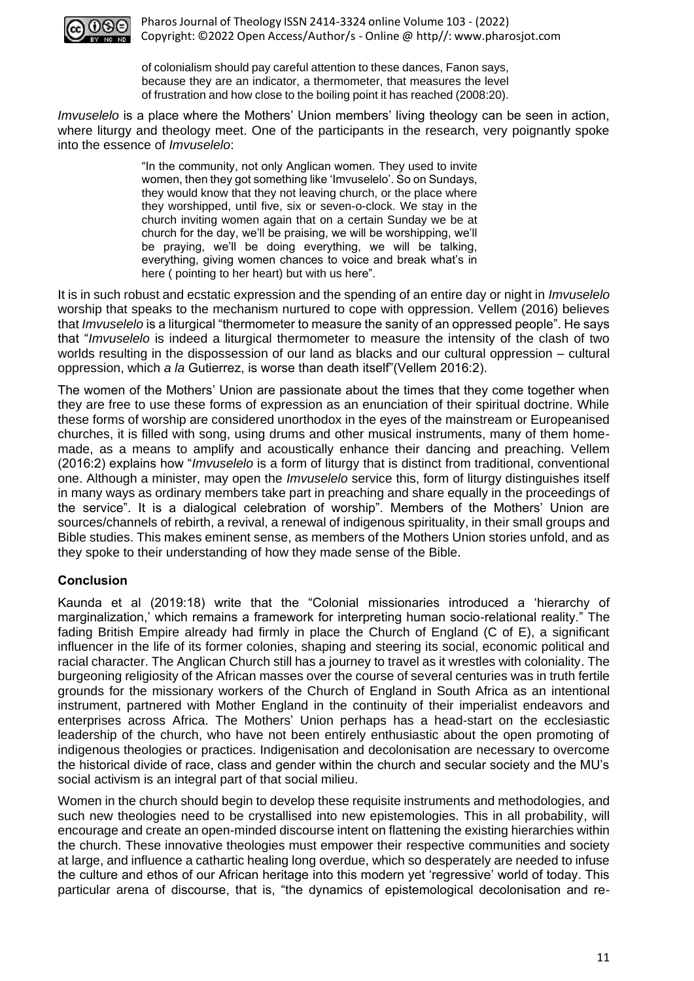

of colonialism should pay careful attention to these dances, Fanon says, because they are an indicator, a thermometer, that measures the level of frustration and how close to the boiling point it has reached (2008:20).

*Imvuselelo* is a place where the Mothers' Union members' living theology can be seen in action, where liturgy and theology meet. One of the participants in the research, very poignantly spoke into the essence of *Imvuselelo*:

> "In the community, not only Anglican women. They used to invite women, then they got something like 'Imvuselelo'. So on Sundays, they would know that they not leaving church, or the place where they worshipped, until five, six or seven-o-clock. We stay in the church inviting women again that on a certain Sunday we be at church for the day, we'll be praising, we will be worshipping, we'll be praying, we'll be doing everything, we will be talking, everything, giving women chances to voice and break what's in here ( pointing to her heart) but with us here".

It is in such robust and ecstatic expression and the spending of an entire day or night in *Imvuselelo* worship that speaks to the mechanism nurtured to cope with oppression. Vellem (2016) believes that *Imvuselelo* is a liturgical "thermometer to measure the sanity of an oppressed people". He says that "*Imvuselelo* is indeed a liturgical thermometer to measure the intensity of the clash of two worlds resulting in the dispossession of our land as blacks and our cultural oppression – cultural oppression, which *a la* Gutierrez, is worse than death itself"(Vellem 2016:2).

The women of the Mothers' Union are passionate about the times that they come together when they are free to use these forms of expression as an enunciation of their spiritual doctrine. While these forms of worship are considered unorthodox in the eyes of the mainstream or Europeanised churches, it is filled with song, using drums and other musical instruments, many of them homemade, as a means to amplify and acoustically enhance their dancing and preaching. Vellem (2016:2) explains how "*Imvuselelo* is a form of liturgy that is distinct from traditional, conventional one. Although a minister, may open the *Imvuselelo* service this, form of liturgy distinguishes itself in many ways as ordinary members take part in preaching and share equally in the proceedings of the service". It is a dialogical celebration of worship". Members of the Mothers' Union are sources/channels of rebirth, a revival, a renewal of indigenous spirituality, in their small groups and Bible studies. This makes eminent sense, as members of the Mothers Union stories unfold, and as they spoke to their understanding of how they made sense of the Bible.

## **Conclusion**

Kaunda et al (2019:18) write that the "Colonial missionaries introduced a 'hierarchy of marginalization,' which remains a framework for interpreting human socio-relational reality." The fading British Empire already had firmly in place the Church of England (C of E), a significant influencer in the life of its former colonies, shaping and steering its social, economic political and racial character. The Anglican Church still has a journey to travel as it wrestles with coloniality. The burgeoning religiosity of the African masses over the course of several centuries was in truth fertile grounds for the missionary workers of the Church of England in South Africa as an intentional instrument, partnered with Mother England in the continuity of their imperialist endeavors and enterprises across Africa. The Mothers' Union perhaps has a head-start on the ecclesiastic leadership of the church, who have not been entirely enthusiastic about the open promoting of indigenous theologies or practices. Indigenisation and decolonisation are necessary to overcome the historical divide of race, class and gender within the church and secular society and the MU's social activism is an integral part of that social milieu.

Women in the church should begin to develop these requisite instruments and methodologies, and such new theologies need to be crystallised into new epistemologies. This in all probability, will encourage and create an open-minded discourse intent on flattening the existing hierarchies within the church. These innovative theologies must empower their respective communities and society at large, and influence a cathartic healing long overdue, which so desperately are needed to infuse the culture and ethos of our African heritage into this modern yet 'regressive' world of today. This particular arena of discourse, that is, "the dynamics of epistemological decolonisation and re-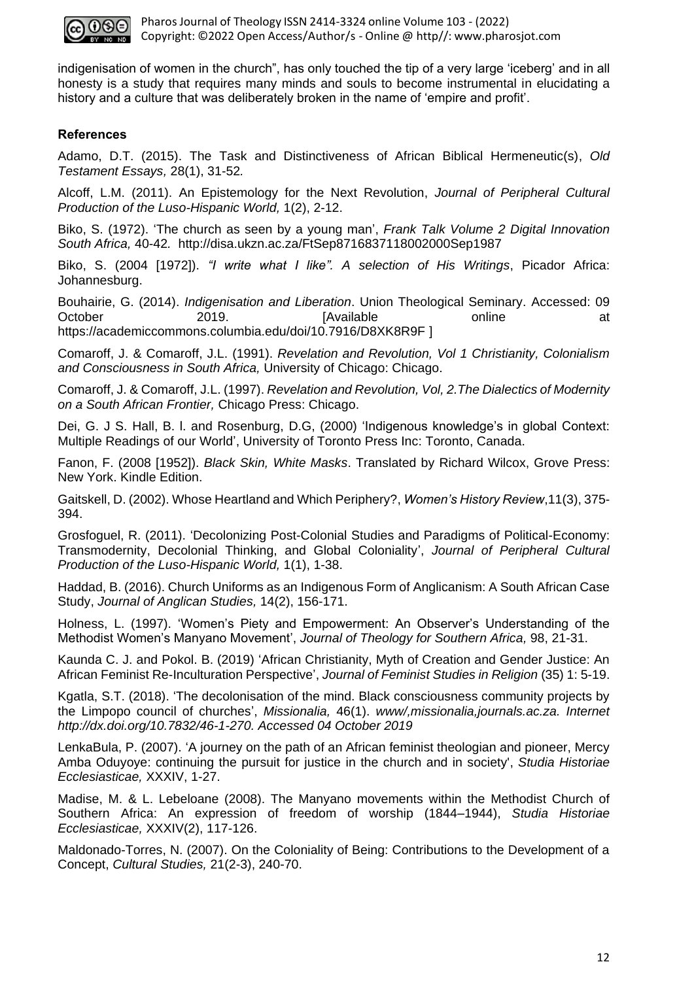

indigenisation of women in the church", has only touched the tip of a very large 'iceberg' and in all honesty is a study that requires many minds and souls to become instrumental in elucidating a history and a culture that was deliberately broken in the name of 'empire and profit'.

# **References**

Adamo, D.T. (2015). The Task and Distinctiveness of African Biblical Hermeneutic(s), *Old Testament Essays,* 28(1), 31-52*.*

Alcoff, L.M. (2011). An Epistemology for the Next Revolution, *Journal of Peripheral Cultural Production of the Luso-Hispanic World,* 1(2), 2-12.

Biko, S. (1972). 'The church as seen by a young man', *Frank Talk Volume 2 Digital Innovation South Africa,* 40-42*.* http://disa.ukzn.ac.za/FtSep8716837118002000Sep1987

Biko, S. (2004 [1972]). *"I write what I like". A selection of His Writings*, Picador Africa: Johannesburg.

Bouhairie, G. (2014). *Indigenisation and Liberation*. Union Theological Seminary. Accessed: 09 October 2019. [Available online at https://academiccommons.columbia.edu/doi/10.7916/D8XK8R9F ]

Comaroff, J. & Comaroff, J.L. (1991). *Revelation and Revolution, Vol 1 Christianity, Colonialism and Consciousness in South Africa,* University of Chicago: Chicago.

Comaroff, J. & Comaroff, J.L. (1997). *Revelation and Revolution, Vol, 2.The Dialectics of Modernity on a South African Frontier,* Chicago Press: Chicago.

Dei, G. J S. Hall, B. l. and Rosenburg, D.G, (2000) 'Indigenous knowledge's in global Context: Multiple Readings of our World', University of Toronto Press Inc: Toronto, Canada.

Fanon, F. (2008 [1952]). *Black Skin, White Masks*. Translated by Richard Wilcox, Grove Press: New York. Kindle Edition.

Gaitskell, D. (2002). Whose Heartland and Which Periphery?, *Women's History Review*,11(3), 375- 394.

Grosfoguel, R. (2011). 'Decolonizing Post-Colonial Studies and Paradigms of Political-Economy: Transmodernity, Decolonial Thinking, and Global Coloniality', *Journal of Peripheral Cultural Production of the Luso-Hispanic World,* 1(1), 1-38.

Haddad, B. (2016). Church Uniforms as an Indigenous Form of Anglicanism: A South African Case Study, *Journal of Anglican Studies,* 14(2), 156-171.

Holness, L. (1997). 'Women's Piety and Empowerment: An Observer's Understanding of the Methodist Women's Manyano Movement', *Journal of Theology for Southern Africa,* 98, 21-31.

Kaunda C. J. and Pokol. B. (2019) 'African Christianity, Myth of Creation and Gender Justice: An African Feminist Re-Inculturation Perspective', *Journal of Feminist Studies in Religion* (35) 1: 5-19.

Kgatla, S.T. (2018). 'The decolonisation of the mind. Black consciousness community projects by the Limpopo council of churches', *Missionalia,* 46(1). *www/,missionalia,journals.ac.za. Internet http://dx.doi.org/10.7832/46-1-270. Accessed 04 October 2019*

LenkaBula, P. (2007). 'A journey on the path of an African feminist theologian and pioneer, Mercy Amba Oduyoye: continuing the pursuit for justice in the church and in society', *Studia Historiae Ecclesiasticae,* XXXIV, 1-27.

Madise, M. & L. Lebeloane (2008). The Manyano movements within the Methodist Church of Southern Africa: An expression of freedom of worship (1844–1944), *Studia Historiae Ecclesiasticae,* XXXIV(2), 117-126.

Maldonado-Torres, N. (2007). On the Coloniality of Being: Contributions to the Development of a Concept, *Cultural Studies,* 21(2-3), 240-70.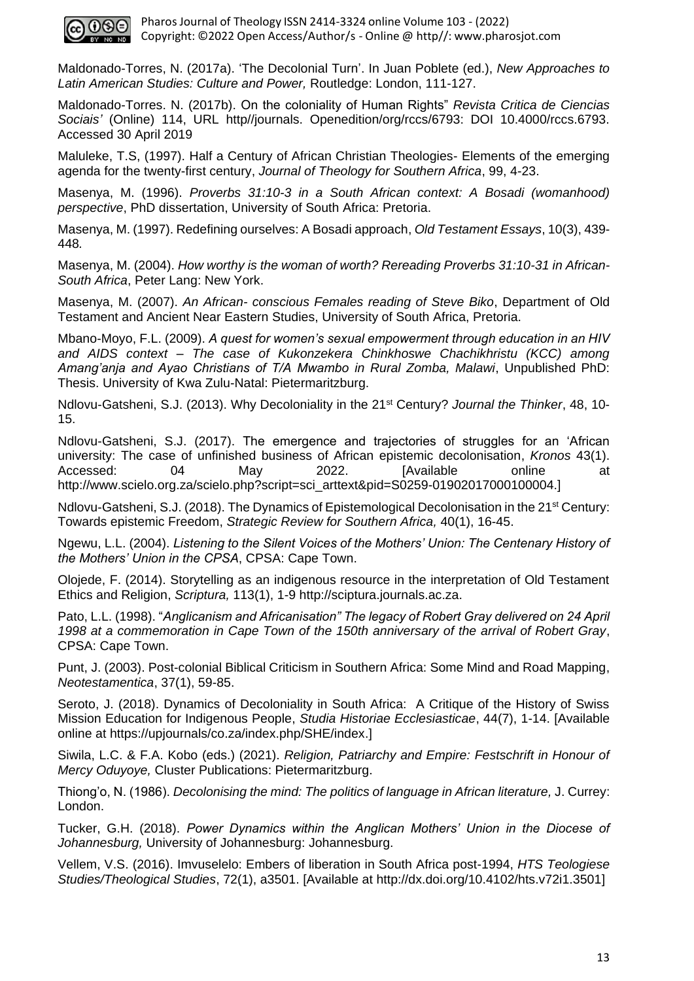

Maldonado-Torres, N. (2017a). 'The Decolonial Turn'. In Juan Poblete (ed.), *New Approaches to Latin American Studies: Culture and Power,* Routledge: London, 111-127.

Maldonado-Torres. N. (2017b). On the coloniality of Human Rights" *Revista Critica de Ciencias Sociais'* (Online) 114, URL http//journals. Openedition/org/rccs/6793: DOI 10.4000/rccs.6793. Accessed 30 April 2019

Maluleke, T.S, (1997). Half a Century of African Christian Theologies- Elements of the emerging agenda for the twenty-first century, *Journal of Theology for Southern Africa*, 99, 4-23.

Masenya, M. (1996). *Proverbs 31:10-3 in a South African context: A Bosadi (womanhood) perspective*, PhD dissertation, University of South Africa: Pretoria.

Masenya, M. (1997). Redefining ourselves: A Bosadi approach, *Old Testament Essays*, 10(3), 439- 448*.* 

Masenya, M. (2004). *How worthy is the woman of worth? Rereading Proverbs 31:10-31 in African-South Africa*, Peter Lang: New York.

Masenya, M. (2007). *An African- conscious Females reading of Steve Biko*, Department of Old Testament and Ancient Near Eastern Studies, University of South Africa, Pretoria.

Mbano-Moyo, F.L. (2009). *A quest for women's sexual empowerment through education in an HIV and AIDS context – The case of Kukonzekera Chinkhoswe Chachikhristu (KCC) among Amang'anja and Ayao Christians of T/A Mwambo in Rural Zomba, Malawi*, Unpublished PhD: Thesis. University of Kwa Zulu-Natal: Pietermaritzburg.

Ndlovu-Gatsheni, S.J. (2013). Why Decoloniality in the 21st Century? *Journal the Thinker*, 48, 10- 15.

Ndlovu-Gatsheni, S.J. (2017). The emergence and trajectories of struggles for an 'African university: The case of unfinished business of African epistemic decolonisation, *Kronos* 43(1). Accessed: 04 May 2022. [Available online at http://www.scielo.org.za/scielo.php?script=sci\_arttext&pid=S0259-01902017000100004.]

Ndlovu-Gatsheni, S.J. (2018). The Dynamics of Epistemological Decolonisation in the 21<sup>st</sup> Century: Towards epistemic Freedom, *Strategic Review for Southern Africa,* 40(1), 16-45.

Ngewu, L.L. (2004). *Listening to the Silent Voices of the Mothers' Union: The Centenary History of the Mothers' Union in the CPSA*, CPSA: Cape Town.

Olojede, F. (2014). Storytelling as an indigenous resource in the interpretation of Old Testament Ethics and Religion, *Scriptura,* 113(1), 1-9 http://sciptura.journals.ac.za.

Pato, L.L. (1998). "*Anglicanism and Africanisation" The legacy of Robert Gray delivered on 24 April 1998 at a commemoration in Cape Town of the 150th anniversary of the arrival of Robert Gray*, CPSA: Cape Town.

Punt, J. (2003). Post-colonial Biblical Criticism in Southern Africa: Some Mind and Road Mapping, *Neotestamentica*, 37(1), 59-85.

Seroto, J. (2018). Dynamics of Decoloniality in South Africa: A Critique of the History of Swiss Mission Education for Indigenous People, *Studia Historiae Ecclesiasticae*, 44(7), 1-14. [Available online at https://upjournals/co.za/index.php/SHE/index.]

Siwila, L.C. & F.A. Kobo (eds.) (2021). *Religion, Patriarchy and Empire: Festschrift in Honour of Mercy Oduyoye,* Cluster Publications: Pietermaritzburg.

Thiong'o, N. (1986). *Decolonising the mind: The politics of language in African literature,* J. Currey: London.

Tucker, G.H. (2018). *Power Dynamics within the Anglican Mothers' Union in the Diocese of Johannesburg,* University of Johannesburg: Johannesburg.

Vellem, V.S. (2016). Imvuselelo: Embers of liberation in South Africa post-1994, *HTS Teologiese Studies/Theological Studies*, 72(1), a3501. [Available at [http://dx.doi.org/10.4102/hts.v72i1.3501\]](http://dx.doi.org/10.4102/hts.v72i1.3501)